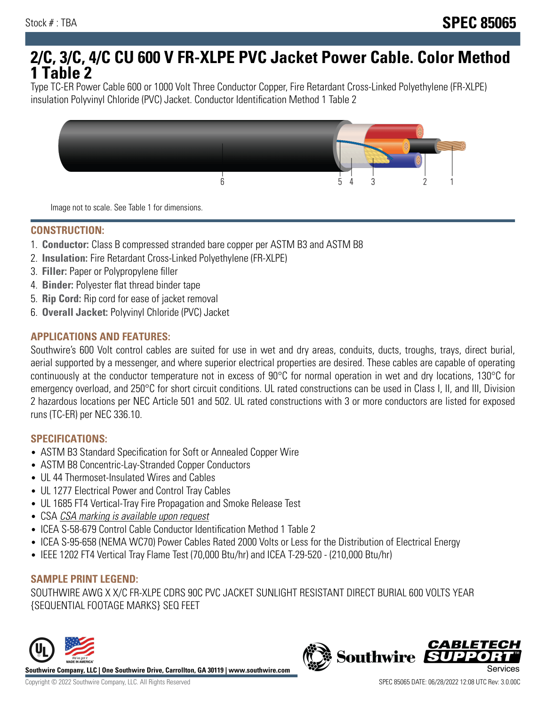# **2/C, 3/C, 4/C CU 600 V FR-XLPE PVC Jacket Power Cable. Color Method 1 Table 2**

Type TC-ER Power Cable 600 or 1000 Volt Three Conductor Copper, Fire Retardant Cross-Linked Polyethylene (FR-XLPE) insulation Polyvinyl Chloride (PVC) Jacket. Conductor Identification Method 1 Table 2



Image not to scale. See Table 1 for dimensions.

#### **CONSTRUCTION:**

- 1. **Conductor:** Class B compressed stranded bare copper per ASTM B3 and ASTM B8
- 2. **Insulation:** Fire Retardant Cross-Linked Polyethylene (FR-XLPE)
- 3. **Filler:** Paper or Polypropylene filler
- 4. **Binder:** Polyester flat thread binder tape
- 5. **Rip Cord:** Rip cord for ease of jacket removal
- 6. **Overall Jacket:** Polyvinyl Chloride (PVC) Jacket

## **APPLICATIONS AND FEATURES:**

Southwire's 600 Volt control cables are suited for use in wet and dry areas, conduits, ducts, troughs, trays, direct burial, aerial supported by a messenger, and where superior electrical properties are desired. These cables are capable of operating continuously at the conductor temperature not in excess of 90°C for normal operation in wet and dry locations, 130°C for emergency overload, and 250°C for short circuit conditions. UL rated constructions can be used in Class I, II, and III, Division 2 hazardous locations per NEC Article 501 and 502. UL rated constructions with 3 or more conductors are listed for exposed runs (TC-ER) per NEC 336.10.

#### **SPECIFICATIONS:**

- ASTM B3 Standard Specification for Soft or Annealed Copper Wire
- ASTM B8 Concentric-Lay-Stranded Copper Conductors
- UL 44 Thermoset-Insulated Wires and Cables
- UL 1277 Electrical Power and Control Tray Cables
- UL 1685 FT4 Vertical-Tray Fire Propagation and Smoke Release Test
- CSA CSA marking is available upon request
- ICEA S-58-679 Control Cable Conductor Identification Method 1 Table 2
- ICEA S-95-658 (NEMA WC70) Power Cables Rated 2000 Volts or Less for the Distribution of Electrical Energy
- IEEE 1202 FT4 Vertical Tray Flame Test (70,000 Btu/hr) and ICEA T-29-520 (210,000 Btu/hr)

#### **SAMPLE PRINT LEGEND:**

SOUTHWIRE AWG X X/C FR-XLPE CDRS 90C PVC JACKET SUNLIGHT RESISTANT DIRECT BURIAL 600 VOLTS YEAR {SEQUENTIAL FOOTAGE MARKS} SEQ FEET